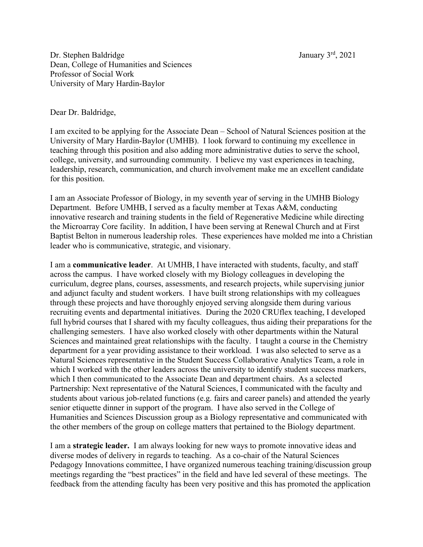Dr. Stephen Baldridge January 3<sup>rd</sup>, 2021 Dean, College of Humanities and Sciences Professor of Social Work University of Mary Hardin-Baylor

Dear Dr. Baldridge,

I am excited to be applying for the Associate Dean – School of Natural Sciences position at the University of Mary Hardin-Baylor (UMHB). I look forward to continuing my excellence in teaching through this position and also adding more administrative duties to serve the school, college, university, and surrounding community. I believe my vast experiences in teaching, leadership, research, communication, and church involvement make me an excellent candidate for this position.

I am an Associate Professor of Biology, in my seventh year of serving in the UMHB Biology Department. Before UMHB, I served as a faculty member at Texas A&M, conducting innovative research and training students in the field of Regenerative Medicine while directing the Microarray Core facility. In addition, I have been serving at Renewal Church and at First Baptist Belton in numerous leadership roles. These experiences have molded me into a Christian leader who is communicative, strategic, and visionary.

I am a **communicative leader**. At UMHB, I have interacted with students, faculty, and staff across the campus. I have worked closely with my Biology colleagues in developing the curriculum, degree plans, courses, assessments, and research projects, while supervising junior and adjunct faculty and student workers. I have built strong relationships with my colleagues through these projects and have thoroughly enjoyed serving alongside them during various recruiting events and departmental initiatives. During the 2020 CRUflex teaching, I developed full hybrid courses that I shared with my faculty colleagues, thus aiding their preparations for the challenging semesters. I have also worked closely with other departments within the Natural Sciences and maintained great relationships with the faculty. I taught a course in the Chemistry department for a year providing assistance to their workload. I was also selected to serve as a Natural Sciences representative in the Student Success Collaborative Analytics Team, a role in which I worked with the other leaders across the university to identify student success markers, which I then communicated to the Associate Dean and department chairs. As a selected Partnership: Next representative of the Natural Sciences, I communicated with the faculty and students about various job-related functions (e.g. fairs and career panels) and attended the yearly senior etiquette dinner in support of the program. I have also served in the College of Humanities and Sciences Discussion group as a Biology representative and communicated with the other members of the group on college matters that pertained to the Biology department.

I am a **strategic leader.** I am always looking for new ways to promote innovative ideas and diverse modes of delivery in regards to teaching. As a co-chair of the Natural Sciences Pedagogy Innovations committee, I have organized numerous teaching training/discussion group meetings regarding the "best practices" in the field and have led several of these meetings. The feedback from the attending faculty has been very positive and this has promoted the application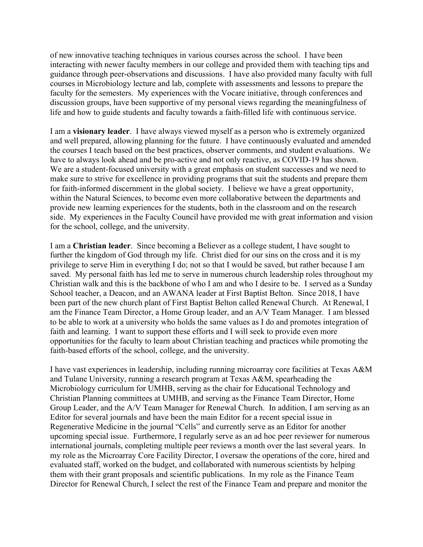of new innovative teaching techniques in various courses across the school. I have been interacting with newer faculty members in our college and provided them with teaching tips and guidance through peer-observations and discussions. I have also provided many faculty with full courses in Microbiology lecture and lab, complete with assessments and lessons to prepare the faculty for the semesters. My experiences with the Vocare initiative, through conferences and discussion groups, have been supportive of my personal views regarding the meaningfulness of life and how to guide students and faculty towards a faith-filled life with continuous service.

I am a **visionary leader**. I have always viewed myself as a person who is extremely organized and well prepared, allowing planning for the future. I have continuously evaluated and amended the courses I teach based on the best practices, observer comments, and student evaluations. We have to always look ahead and be pro-active and not only reactive, as COVID-19 has shown. We are a student-focused university with a great emphasis on student successes and we need to make sure to strive for excellence in providing programs that suit the students and prepare them for faith-informed discernment in the global society. I believe we have a great opportunity, within the Natural Sciences, to become even more collaborative between the departments and provide new learning experiences for the students, both in the classroom and on the research side. My experiences in the Faculty Council have provided me with great information and vision for the school, college, and the university.

I am a **Christian leader**. Since becoming a Believer as a college student, I have sought to further the kingdom of God through my life. Christ died for our sins on the cross and it is my privilege to serve Him in everything I do; not so that I would be saved, but rather because I am saved. My personal faith has led me to serve in numerous church leadership roles throughout my Christian walk and this is the backbone of who I am and who I desire to be. I served as a Sunday School teacher, a Deacon, and an AWANA leader at First Baptist Belton. Since 2018, I have been part of the new church plant of First Baptist Belton called Renewal Church. At Renewal, I am the Finance Team Director, a Home Group leader, and an A/V Team Manager. I am blessed to be able to work at a university who holds the same values as I do and promotes integration of faith and learning. I want to support these efforts and I will seek to provide even more opportunities for the faculty to learn about Christian teaching and practices while promoting the faith-based efforts of the school, college, and the university.

I have vast experiences in leadership, including running microarray core facilities at Texas A&M and Tulane University, running a research program at Texas A&M, spearheading the Microbiology curriculum for UMHB, serving as the chair for Educational Technology and Christian Planning committees at UMHB, and serving as the Finance Team Director, Home Group Leader, and the A/V Team Manager for Renewal Church. In addition, I am serving as an Editor for several journals and have been the main Editor for a recent special issue in Regenerative Medicine in the journal "Cells" and currently serve as an Editor for another upcoming special issue. Furthermore, I regularly serve as an ad hoc peer reviewer for numerous international journals, completing multiple peer reviews a month over the last several years. In my role as the Microarray Core Facility Director, I oversaw the operations of the core, hired and evaluated staff, worked on the budget, and collaborated with numerous scientists by helping them with their grant proposals and scientific publications. In my role as the Finance Team Director for Renewal Church, I select the rest of the Finance Team and prepare and monitor the